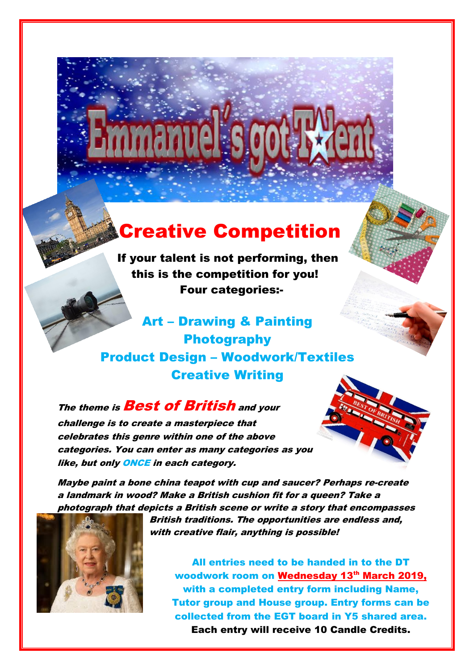## Creative Competition

If your talent is not performing, then this is the competition for you! Four categories:-

Art – Drawing & Painting Photography Product Design – Woodwork/Textiles Creative Writing

The theme is **Best of British** and your challenge is to create a masterpiece that

celebrates this genre within one of the above categories. You can enter as many categories as you like, but only **ONCE** in each category.

Maybe paint a bone china teapot with cup and saucer? Perhaps re-create a landmark in wood? Make a British cushion fit for a queen? Take a photograph that depicts a British scene or write a story that encompasses



British traditions. The opportunities are endless and, with creative flair, anything is possible!

All entries need to be handed in to the DT woodwork room on Wednesday 13th March 2019, with a completed entry form including Name, Tutor group and House group. Entry forms can be collected from the EGT board in Y5 shared area. Each entry will receive 10 Candle Credits.